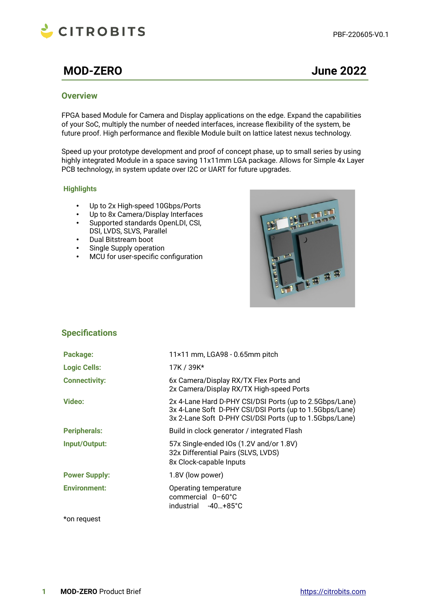

# **MOD-ZERO June 2022**

### **Overview**

FPGA based Module for Camera and Display applications on the edge. Expand the capabilities of your SoC, multiply the number of needed interfaces, increase flexibility of the system, be future proof. High performance and flexible Module built on lattice latest nexus technology.

Speed up your prototype development and proof of concept phase, up to small series by using highly integrated Module in a space saving 11x11mm LGA package. Allows for Simple 4x Layer PCB technology, in system update over I2C or UART for future upgrades.

#### **Highlights**

- Up to 2x High-speed 10Gbps/Ports
- Up to 8x Camera/Display Interfaces<br>• Supported standards OpenLDI CSI.
- Supported standards OpenLDI, CSI, DSI, LVDS, SLVS, Parallel
- Dual Bitstream boot
- Single Supply operation
- MCU for user-specific configuration



# **Specifications**

| Package:             | 11×11 mm, LGA98 - 0.65mm pitch                                                                                                                                                |
|----------------------|-------------------------------------------------------------------------------------------------------------------------------------------------------------------------------|
| <b>Logic Cells:</b>  | 17K / 39K*                                                                                                                                                                    |
| <b>Connectivity:</b> | 6x Camera/Display RX/TX Flex Ports and<br>2x Camera/Display RX/TX High-speed Ports                                                                                            |
| <b>Video:</b>        | 2x 4-Lane Hard D-PHY CSI/DSI Ports (up to 2.5Gbps/Lane)<br>3x 4-Lane Soft D-PHY CSI/DSI Ports (up to 1.5Gbps/Lane)<br>3x 2-Lane Soft D-PHY CSI/DSI Ports (up to 1.5Gbps/Lane) |
| <b>Peripherals:</b>  | Build in clock generator / integrated Flash                                                                                                                                   |
| Input/Output:        | 57x Single-ended IOs (1.2V and/or 1.8V)<br>32x Differential Pairs (SLVS, LVDS)<br>8x Clock-capable Inputs                                                                     |
| <b>Power Supply:</b> | 1.8V (low power)                                                                                                                                                              |
| <b>Environment:</b>  | Operating temperature<br>commercial 0-60°C<br>industrial -40+85°C                                                                                                             |

\*on request